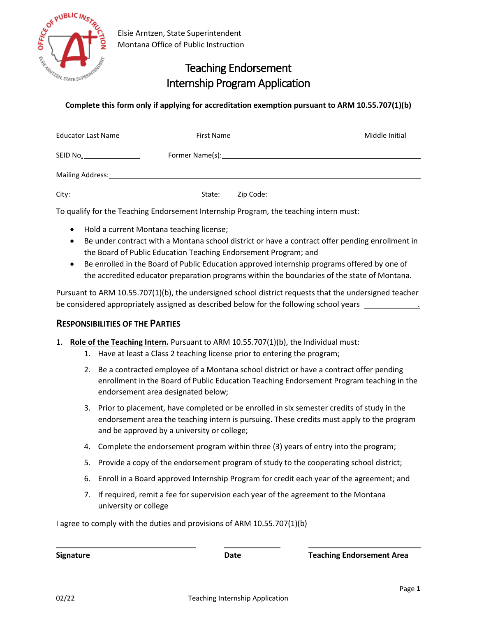

## Teaching Endorsement Internship Program Application

## **Complete this form only if applying for accreditation exemption pursuant to ARM 10.55.707(1)(b)**

| <b>Educator Last Name</b> | <b>First Name</b>                 | Middle Initial |
|---------------------------|-----------------------------------|----------------|
|                           |                                   |                |
|                           |                                   |                |
| City:                     | State: <u>Zip Code: Zip Colle</u> |                |

To qualify for the Teaching Endorsement Internship Program, the teaching intern must:

- Hold a current Montana teaching license;
- Be under contract with a Montana school district or have a contract offer pending enrollment in the Board of Public Education Teaching Endorsement Program; and
- Be enrolled in the Board of Public Education approved internship programs offered by one of the accredited educator preparation programs within the boundaries of the state of Montana.

Pursuant to ARM 10.55.707(1)(b), the undersigned school district requests that the undersigned teacher be considered appropriately assigned as described below for the following school years .

## **RESPONSIBILITIES OF THE PARTIES**

- 1. **Role of the Teaching Intern.** Pursuant to ARM 10.55.707(1)(b), the Individual must:
	- 1. Have at least a Class 2 teaching license prior to entering the program;
	- 2. Be a contracted employee of a Montana school district or have a contract offer pending enrollment in the Board of Public Education Teaching Endorsement Program teaching in the endorsement area designated below;
	- 3. Prior to placement, have completed or be enrolled in six semester credits of study in the endorsement area the teaching intern is pursuing. These credits must apply to the program and be approved by a university or college;
	- 4. Complete the endorsement program within three (3) years of entry into the program;
	- 5. Provide a copy of the endorsement program of study to the cooperating school district;
	- 6. Enroll in a Board approved Internship Program for credit each year of the agreement; and
	- 7. If required, remit a fee for supervision each year of the agreement to the Montana university or college

I agree to comply with the duties and provisions of ARM 10.55.707(1)(b)

**Signature Date Teaching Endorsement Area**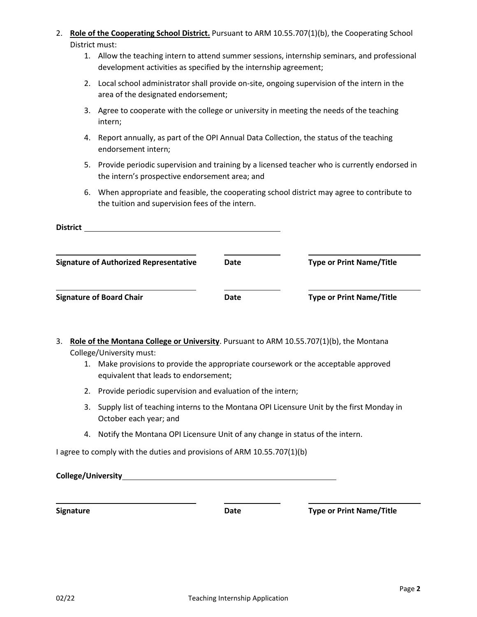- 2. **Role of the Cooperating School District.** Pursuant to ARM 10.55.707(1)(b), the Cooperating School District must:
	- 1. Allow the teaching intern to attend summer sessions, internship seminars, and professional development activities as specified by the internship agreement;
	- 2. Local school administrator shall provide on-site, ongoing supervision of the intern in the area of the designated endorsement;
	- 3. Agree to cooperate with the college or university in meeting the needs of the teaching intern;
	- 4. Report annually, as part of the OPI Annual Data Collection, the status of the teaching endorsement intern;
	- 5. Provide periodic supervision and training by a licensed teacher who is currently endorsed in the intern's prospective endorsement area; and
	- 6. When appropriate and feasible, the cooperating school district may agree to contribute to the tuition and supervision fees of the intern.

| <b>District</b>                               |             |                                 |
|-----------------------------------------------|-------------|---------------------------------|
| <b>Signature of Authorized Representative</b> | <b>Date</b> | <b>Type or Print Name/Title</b> |
| <b>Signature of Board Chair</b>               | <b>Date</b> | <b>Type or Print Name/Title</b> |

- 3. **Role of the Montana College or University**. Pursuant to ARM 10.55.707(1)(b), the Montana College/University must:
	- 1. Make provisions to provide the appropriate coursework or the acceptable approved equivalent that leads to endorsement;
	- 2. Provide periodic supervision and evaluation of the intern;
	- 3. Supply list of teaching interns to the Montana OPI Licensure Unit by the first Monday in October each year; and
	- 4. Notify the Montana OPI Licensure Unit of any change in status of the intern.

I agree to comply with the duties and provisions of ARM 10.55.707(1)(b)

**College/University**

**Signature Date Type or Print Name/Title**